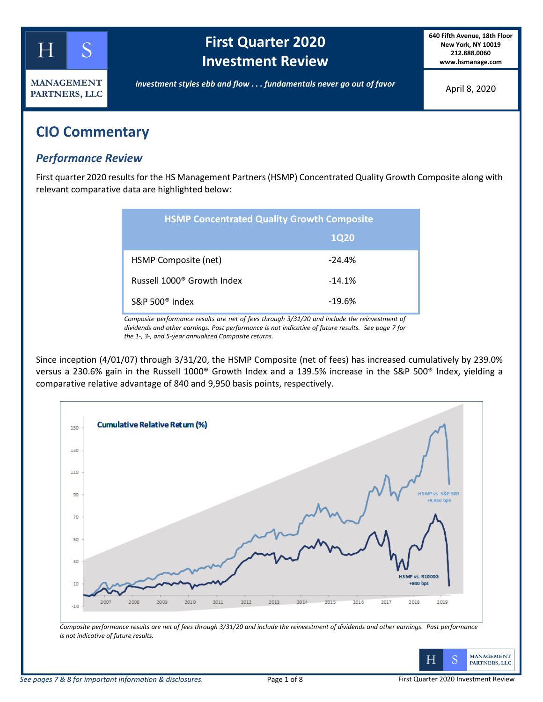

# **First Quarter 2020 Investment Review**

**640 Fifth Avenue, 18th Floor New York, NY 10019 212.888.0060 www.hsmanage.com**

*investment styles ebb and flow . . . fundamentals never go out of favor*

April 8, 2020

## **CIO Commentary**

## *Performance Review*

First quarter 2020 results for the HS Management Partners (HSMP) Concentrated Quality Growth Composite along with relevant comparative data are highlighted below:

| <b>HSMP Concentrated Quality Growth Composite</b> |             |  |  |  |
|---------------------------------------------------|-------------|--|--|--|
|                                                   | <b>1Q20</b> |  |  |  |
| HSMP Composite (net)                              | $-24.4%$    |  |  |  |
| Russell 1000 <sup>®</sup> Growth Index            | $-14.1%$    |  |  |  |
| $S\&P 500^{\circ}$ Index                          | $-19.6%$    |  |  |  |

*Composite performance results are net of fees through 3/31/20 and include the reinvestment of dividends and other earnings. Past performance is not indicative of future results. See page 7 for the 1-, 3-, and 5-year annualized Composite returns.*

Since inception (4/01/07) through 3/31/20, the HSMP Composite (net of fees) has increased cumulatively by 239.0% versus a 230.6% gain in the Russell 1000® Growth Index and a 139.5% increase in the S&P 500® Index, yielding a comparative relative advantage of 840 and 9,950 basis points, respectively.



*Composite performance results are net of fees through 3/31/20 and include the reinvestment of dividends and other earnings. Past performance is not indicative of future results.* 

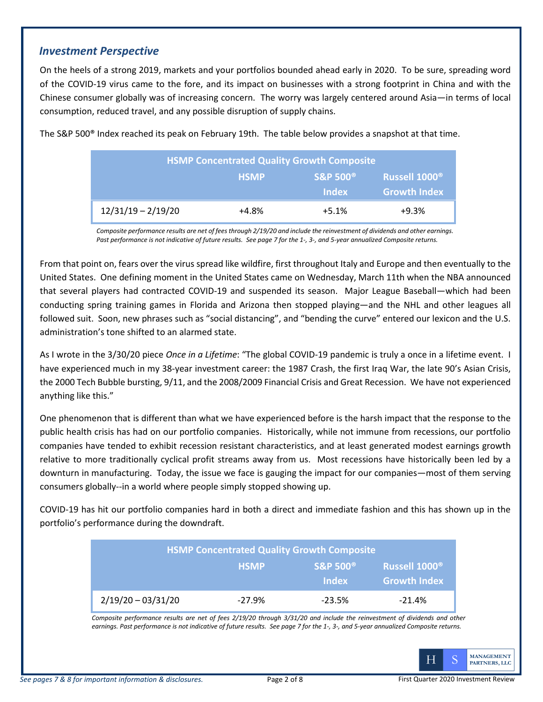#### *Investment Perspective*

On the heels of a strong 2019, markets and your portfolios bounded ahead early in 2020. To be sure, spreading word of the COVID-19 virus came to the fore, and its impact on businesses with a strong footprint in China and with the Chinese consumer globally was of increasing concern. The worry was largely centered around Asia—in terms of local consumption, reduced travel, and any possible disruption of supply chains.

| <b>HSMP Concentrated Quality Growth Composite</b> |             |                                |                           |  |  |
|---------------------------------------------------|-------------|--------------------------------|---------------------------|--|--|
|                                                   | <b>HSMP</b> | <b>S&amp;P 500<sup>®</sup></b> | Russell 1000 <sup>®</sup> |  |  |
|                                                   |             | <b>Index</b>                   | <b>Growth Index</b>       |  |  |
| $12/31/19 - 2/19/20$                              | $+4.8%$     | $+5.1%$                        | $+9.3%$                   |  |  |

The S&P 500® Index reached its peak on February 19th. The table below provides a snapshot at that time.

*Composite performance results are net of fees through 2/19/20 and include the reinvestment of dividends and other earnings. Past performance is not indicative of future results. See page 7 for the 1-, 3-, and 5-year annualized Composite returns.*

From that point on, fears over the virus spread like wildfire, first throughout Italy and Europe and then eventually to the United States. One defining moment in the United States came on Wednesday, March 11th when the NBA announced that several players had contracted COVID-19 and suspended its season. Major League Baseball—which had been conducting spring training games in Florida and Arizona then stopped playing—and the NHL and other leagues all followed suit. Soon, new phrases such as "social distancing", and "bending the curve" entered our lexicon and the U.S. administration's tone shifted to an alarmed state.

As I wrote in the 3/30/20 piece *Once in a Lifetime*: "The global COVID-19 pandemic is truly a once in a lifetime event. I have experienced much in my 38-year investment career: the 1987 Crash, the first Iraq War, the late 90's Asian Crisis, the 2000 Tech Bubble bursting, 9/11, and the 2008/2009 Financial Crisis and Great Recession. We have not experienced anything like this."

One phenomenon that is different than what we have experienced before is the harsh impact that the response to the public health crisis has had on our portfolio companies. Historically, while not immune from recessions, our portfolio companies have tended to exhibit recession resistant characteristics, and at least generated modest earnings growth relative to more traditionally cyclical profit streams away from us. Most recessions have historically been led by a downturn in manufacturing. Today, the issue we face is gauging the impact for our companies—most of them serving consumers globally--in a world where people simply stopped showing up.

COVID-19 has hit our portfolio companies hard in both a direct and immediate fashion and this has shown up in the portfolio's performance during the downdraft.

| <b>HSMP Concentrated Quality Growth Composite</b> |             |                                                |                                           |  |  |
|---------------------------------------------------|-------------|------------------------------------------------|-------------------------------------------|--|--|
|                                                   | <b>HSMP</b> | <b>S&amp;P 500<sup>®</sup></b><br><b>Index</b> | Russell 1000 <sup>®</sup><br>Growth Index |  |  |
| $2/19/20 - 03/31/20$                              | $-27.9%$    | $-23.5%$                                       | $-21.4%$                                  |  |  |

*Composite performance results are net of fees 2/19/20 through 3/31/20 and include the reinvestment of dividends and other earnings. Past performance is not indicative of future results. See page 7 for the 1-, 3-, and 5-year annualized Composite returns.*

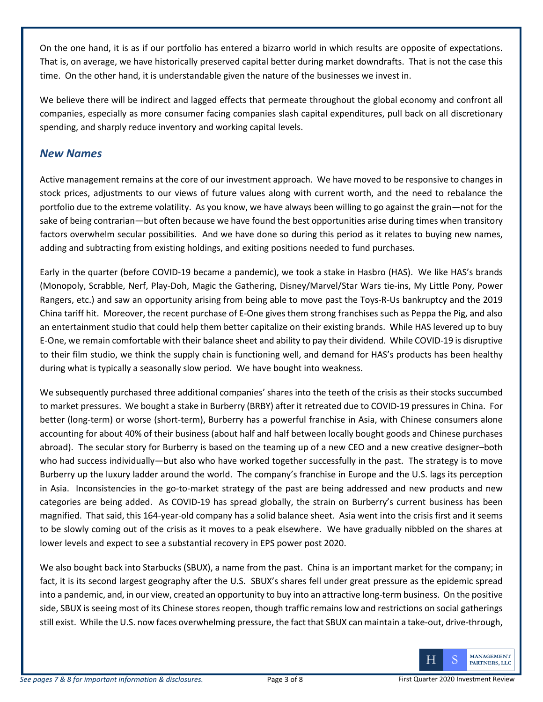On the one hand, it is as if our portfolio has entered a bizarro world in which results are opposite of expectations. That is, on average, we have historically preserved capital better during market downdrafts. That is not the case this time. On the other hand, it is understandable given the nature of the businesses we invest in.

We believe there will be indirect and lagged effects that permeate throughout the global economy and confront all companies, especially as more consumer facing companies slash capital expenditures, pull back on all discretionary spending, and sharply reduce inventory and working capital levels.

## *New Names*

Active management remains at the core of our investment approach. We have moved to be responsive to changes in stock prices, adjustments to our views of future values along with current worth, and the need to rebalance the portfolio due to the extreme volatility. As you know, we have always been willing to go against the grain—not for the sake of being contrarian—but often because we have found the best opportunities arise during times when transitory factors overwhelm secular possibilities. And we have done so during this period as it relates to buying new names, adding and subtracting from existing holdings, and exiting positions needed to fund purchases.

Early in the quarter (before COVID-19 became a pandemic), we took a stake in Hasbro (HAS). We like HAS's brands (Monopoly, Scrabble, Nerf, Play-Doh, Magic the Gathering, Disney/Marvel/Star Wars tie-ins, My Little Pony, Power Rangers, etc.) and saw an opportunity arising from being able to move past the Toys-R-Us bankruptcy and the 2019 China tariff hit. Moreover, the recent purchase of E-One gives them strong franchises such as Peppa the Pig, and also an entertainment studio that could help them better capitalize on their existing brands. While HAS levered up to buy E-One, we remain comfortable with their balance sheet and ability to pay their dividend. While COVID-19 is disruptive to their film studio, we think the supply chain is functioning well, and demand for HAS's products has been healthy during what is typically a seasonally slow period. We have bought into weakness.

We subsequently purchased three additional companies' shares into the teeth of the crisis as their stocks succumbed to market pressures. We bought a stake in Burberry (BRBY) after it retreated due to COVID-19 pressures in China. For better (long-term) or worse (short-term), Burberry has a powerful franchise in Asia, with Chinese consumers alone accounting for about 40% of their business (about half and half between locally bought goods and Chinese purchases abroad). The secular story for Burberry is based on the teaming up of a new CEO and a new creative designer–both who had success individually—but also who have worked together successfully in the past. The strategy is to move Burberry up the luxury ladder around the world. The company's franchise in Europe and the U.S. lags its perception in Asia. Inconsistencies in the go-to-market strategy of the past are being addressed and new products and new categories are being added. As COVID-19 has spread globally, the strain on Burberry's current business has been magnified. That said, this 164-year-old company has a solid balance sheet. Asia went into the crisis first and it seems to be slowly coming out of the crisis as it moves to a peak elsewhere. We have gradually nibbled on the shares at lower levels and expect to see a substantial recovery in EPS power post 2020.

We also bought back into Starbucks (SBUX), a name from the past. China is an important market for the company; in fact, it is its second largest geography after the U.S. SBUX's shares fell under great pressure as the epidemic spread into a pandemic, and, in our view, created an opportunity to buy into an attractive long-term business. On the positive side, SBUX is seeing most of its Chinese stores reopen, though traffic remains low and restrictions on social gatherings still exist. While the U.S. now faces overwhelming pressure, the fact that SBUX can maintain a take-out, drive-through,

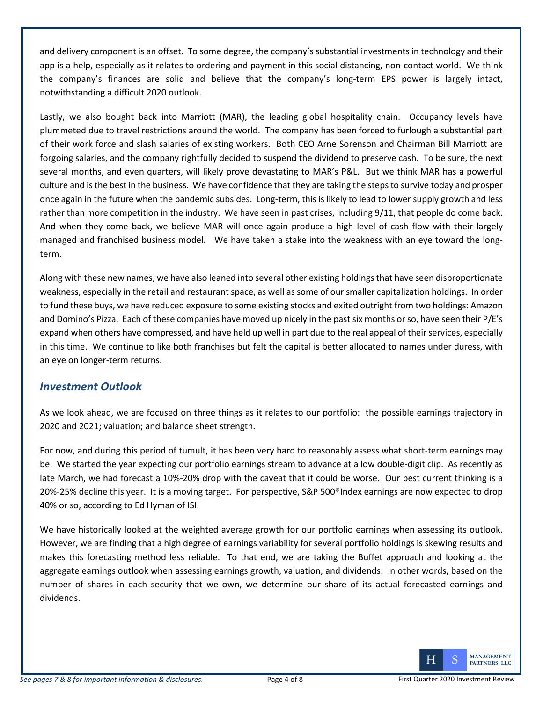and delivery component is an offset. To some degree, the company's substantial investments in technology and their app is a help, especially as it relates to ordering and payment in this social distancing, non-contact world. We think the company's finances are solid and believe that the company's long-term EPS power is largely intact, notwithstanding a difficult 2020 outlook.

Lastly, we also bought back into Marriott (MAR), the leading global hospitality chain. Occupancy levels have plummeted due to travel restrictions around the world. The company has been forced to furlough a substantial part of their work force and slash salaries of existing workers. Both CEO Arne Sorenson and Chairman Bill Marriott are forgoing salaries, and the company rightfully decided to suspend the dividend to preserve cash. To be sure, the next several months, and even quarters, will likely prove devastating to MAR's P&L. But we think MAR has a powerful culture and is the best in the business. We have confidence that they are taking the steps to survive today and prosper once again in the future when the pandemic subsides. Long-term, this is likely to lead to lower supply growth and less rather than more competition in the industry. We have seen in past crises, including 9/11, that people do come back. And when they come back, we believe MAR will once again produce a high level of cash flow with their largely managed and franchised business model. We have taken a stake into the weakness with an eye toward the longterm.

Along with these new names, we have also leaned into several other existing holdings that have seen disproportionate weakness, especially in the retail and restaurant space, as well as some of our smaller capitalization holdings. In order to fund these buys, we have reduced exposure to some existing stocks and exited outright from two holdings: Amazon and Domino's Pizza. Each of these companies have moved up nicely in the past six months or so, have seen their P/E's expand when others have compressed, and have held up well in part due to the real appeal of their services, especially in this time. We continue to like both franchises but felt the capital is better allocated to names under duress, with an eye on longer-term returns.

### *Investment Outlook*

As we look ahead, we are focused on three things as it relates to our portfolio: the possible earnings trajectory in 2020 and 2021; valuation; and balance sheet strength.

For now, and during this period of tumult, it has been very hard to reasonably assess what short-term earnings may be. We started the year expecting our portfolio earnings stream to advance at a low double-digit clip. As recently as late March, we had forecast a 10%-20% drop with the caveat that it could be worse. Our best current thinking is a 20%-25% decline this year. It is a moving target. For perspective, S&P 500®Index earnings are now expected to drop 40% or so, according to Ed Hyman of ISI.

We have historically looked at the weighted average growth for our portfolio earnings when assessing its outlook. However, we are finding that a high degree of earnings variability for several portfolio holdings is skewing results and makes this forecasting method less reliable. To that end, we are taking the Buffet approach and looking at the aggregate earnings outlook when assessing earnings growth, valuation, and dividends. In other words, based on the number of shares in each security that we own, we determine our share of its actual forecasted earnings and dividends.

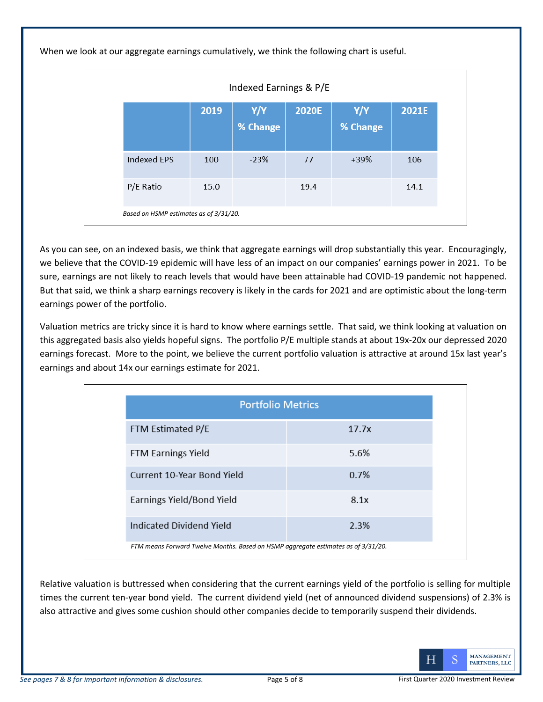When we look at our aggregate earnings cumulatively, we think the following chart is useful.

| Indexed Earnings & P/E                 |      |                 |       |                 |       |  |
|----------------------------------------|------|-----------------|-------|-----------------|-------|--|
|                                        | 2019 | Y/Y<br>% Change | 2020E | Y/Y<br>% Change | 2021E |  |
| Indexed EPS                            | 100  | $-23%$          | 77    | $+39%$          | 106   |  |
| P/E Ratio                              | 15.0 |                 | 19.4  |                 | 14.1  |  |
| Based on HSMP estimates as of 3/31/20. |      |                 |       |                 |       |  |

As you can see, on an indexed basis, we think that aggregate earnings will drop substantially this year. Encouragingly, we believe that the COVID-19 epidemic will have less of an impact on our companies' earnings power in 2021. To be sure, earnings are not likely to reach levels that would have been attainable had COVID-19 pandemic not happened. But that said, we think a sharp earnings recovery is likely in the cards for 2021 and are optimistic about the long-term earnings power of the portfolio.

Valuation metrics are tricky since it is hard to know where earnings settle. That said, we think looking at valuation on this aggregated basis also yields hopeful signs. The portfolio P/E multiple stands at about 19x-20x our depressed 2020 earnings forecast. More to the point, we believe the current portfolio valuation is attractive at around 15x last year's earnings and about 14x our earnings estimate for 2021.

| <b>Portfolio Metrics</b>                                                          |       |  |  |  |
|-----------------------------------------------------------------------------------|-------|--|--|--|
| FTM Estimated P/E                                                                 | 17.7x |  |  |  |
| <b>FTM Earnings Yield</b>                                                         | 5.6%  |  |  |  |
| Current 10-Year Bond Yield                                                        | 0.7%  |  |  |  |
| Earnings Yield/Bond Yield                                                         | 8.1x  |  |  |  |
| Indicated Dividend Yield                                                          | 2.3%  |  |  |  |
| FTM means Forward Twelve Months. Based on HSMP aggregate estimates as of 3/31/20. |       |  |  |  |

Relative valuation is buttressed when considering that the current earnings yield of the portfolio is selling for multiple times the current ten-year bond yield. The current dividend yield (net of announced dividend suspensions) of 2.3% is also attractive and gives some cushion should other companies decide to temporarily suspend their dividends.

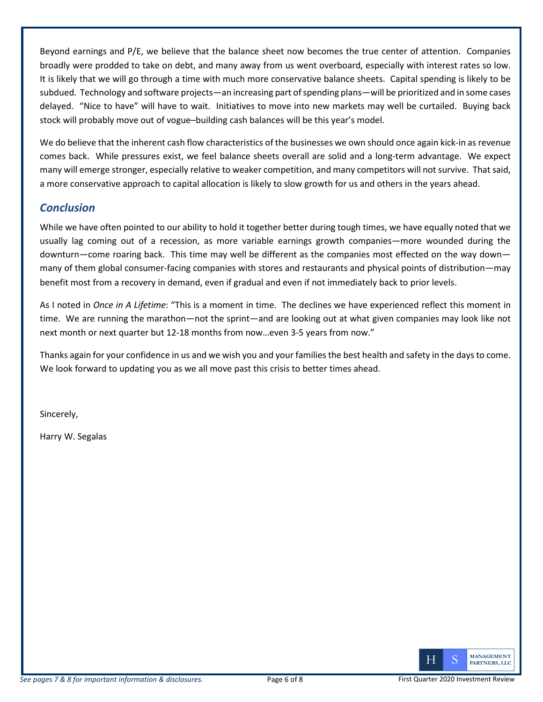Beyond earnings and P/E, we believe that the balance sheet now becomes the true center of attention. Companies broadly were prodded to take on debt, and many away from us went overboard, especially with interest rates so low. It is likely that we will go through a time with much more conservative balance sheets. Capital spending is likely to be subdued. Technology and software projects—an increasing part of spending plans—will be prioritized and in some cases delayed. "Nice to have" will have to wait. Initiatives to move into new markets may well be curtailed. Buying back stock will probably move out of vogue–building cash balances will be this year's model.

We do believe that the inherent cash flow characteristics of the businesses we own should once again kick-in as revenue comes back. While pressures exist, we feel balance sheets overall are solid and a long-term advantage. We expect many will emerge stronger, especially relative to weaker competition, and many competitors will not survive. That said, a more conservative approach to capital allocation is likely to slow growth for us and others in the years ahead.

### *Conclusion*

While we have often pointed to our ability to hold it together better during tough times, we have equally noted that we usually lag coming out of a recession, as more variable earnings growth companies—more wounded during the downturn—come roaring back. This time may well be different as the companies most effected on the way down many of them global consumer-facing companies with stores and restaurants and physical points of distribution—may benefit most from a recovery in demand, even if gradual and even if not immediately back to prior levels.

As I noted in *Once in A Lifetime*: "This is a moment in time. The declines we have experienced reflect this moment in time. We are running the marathon—not the sprint—and are looking out at what given companies may look like not next month or next quarter but 12-18 months from now…even 3-5 years from now."

Thanks again for your confidence in us and we wish you and your families the best health and safety in the days to come. We look forward to updating you as we all move past this crisis to better times ahead.

Sincerely,

Harry W. Segalas

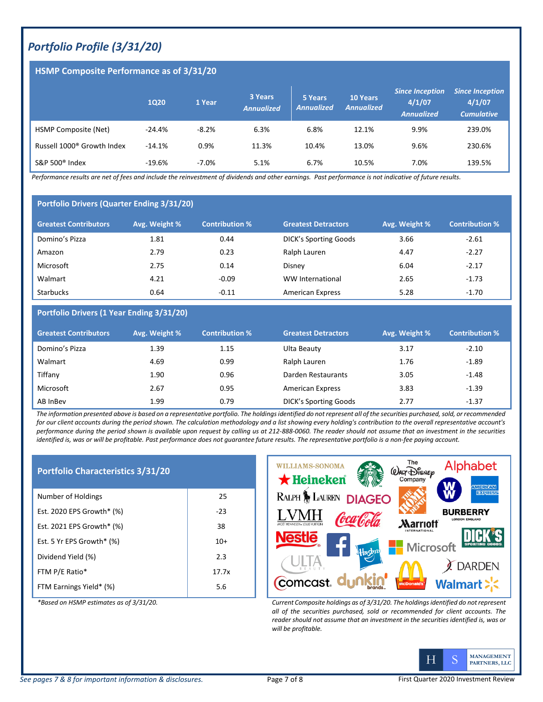## *Portfolio Profile (3/31/20)*

#### **HSMP Composite Performance as of 3/31/20**

|                                        | <b>1Q20</b> | 1 Year  | 3 Years<br><b>Annualized</b> | 5 Years<br><b>Annualized</b> | <b>10 Years</b><br><b>Annualized</b> | <b>Since Inception</b><br>4/1/07<br><b>Annualized</b> | <b>Since Inception</b><br>4/1/07<br><b>Cumulative</b> |
|----------------------------------------|-------------|---------|------------------------------|------------------------------|--------------------------------------|-------------------------------------------------------|-------------------------------------------------------|
| HSMP Composite (Net)                   | $-24.4%$    | $-8.2%$ | 6.3%                         | 6.8%                         | 12.1%                                | 9.9%                                                  | 239.0%                                                |
| Russell 1000 <sup>®</sup> Growth Index | $-14.1%$    | 0.9%    | 11.3%                        | 10.4%                        | 13.0%                                | 9.6%                                                  | 230.6%                                                |
| S&P 500 <sup>®</sup> Index             | $-19.6%$    | $-7.0%$ | 5.1%                         | 6.7%                         | 10.5%                                | 7.0%                                                  | 139.5%                                                |

*Performance results are net of fees and include the reinvestment of dividends and other earnings. Past performance is not indicative of future results.* 

#### **Portfolio Drivers (Quarter Ending 3/31/20)**

| <b>Greatest Contributors</b> | Avg. Weight % | <b>Contribution %</b> | <b>Greatest Detractors</b>   | Avg. Weight % | <b>Contribution %</b> |
|------------------------------|---------------|-----------------------|------------------------------|---------------|-----------------------|
| Domino's Pizza               | 1.81          | 0.44                  | <b>DICK's Sporting Goods</b> | 3.66          | $-2.61$               |
| Amazon                       | 2.79          | 0.23                  | Ralph Lauren                 | 4.47          | $-2.27$               |
| Microsoft                    | 2.75          | 0.14                  | Disney                       | 6.04          | $-2.17$               |
| Walmart                      | 4.21          | $-0.09$               | WW International             | 2.65          | $-1.73$               |
| <b>Starbucks</b>             | 0.64          | $-0.11$               | <b>American Express</b>      | 5.28          | $-1.70$               |

#### **Portfolio Drivers (1 Year Ending 3/31/20)**

| <b>Greatest Contributors</b> | Avg. Weight % | <b>Contribution %</b> | <b>Greatest Detractors</b>   | Avg. Weight % | <b>Contribution %</b> |
|------------------------------|---------------|-----------------------|------------------------------|---------------|-----------------------|
| Domino's Pizza               | 1.39          | 1.15                  | Ulta Beauty                  | 3.17          | $-2.10$               |
| Walmart                      | 4.69          | 0.99                  | Ralph Lauren                 | 1.76          | $-1.89$               |
| Tiffany                      | 1.90          | 0.96                  | Darden Restaurants           | 3.05          | $-1.48$               |
| Microsoft                    | 2.67          | 0.95                  | <b>American Express</b>      | 3.83          | $-1.39$               |
| AB InBev                     | 1.99          | 0.79                  | <b>DICK's Sporting Goods</b> | 2.77          | $-1.37$               |

*The information presented above is based on a representative portfolio. The holdings identified do not represent all of the securities purchased, sold, or recommended for our client accounts during the period shown. The calculation methodology and a list showing every holding's contribution to the overall representative account's performance during the period shown is available upon request by calling us at 212-888-0060. The reader should not assume that an investment in the securities identified is, was or will be profitable. Past performance does not guarantee future results. The representative portfolio is a non-fee paying account.*

| <b>Portfolio Characteristics 3/31/20</b> |       |
|------------------------------------------|-------|
| Number of Holdings                       | 25    |
| Est. 2020 EPS Growth* (%)                | $-23$ |
| Est. 2021 EPS Growth* (%)                | 38    |
| Est. 5 Yr EPS Growth* (%)                | $10+$ |
| Dividend Yield (%)                       | 2.3   |
| FTM P/E Ratio*                           | 17.7x |
| FTM Earnings Yield* (%)                  | 5.6   |



*\*Based on HSMP estimates as of 3/31/20. Current Composite holdings as of 3/31/20. The holdings identified do not represent all of the securities purchased, sold or recommended for client accounts. The reader should not assume that an investment in the securities identified is, was or will be profitable.*